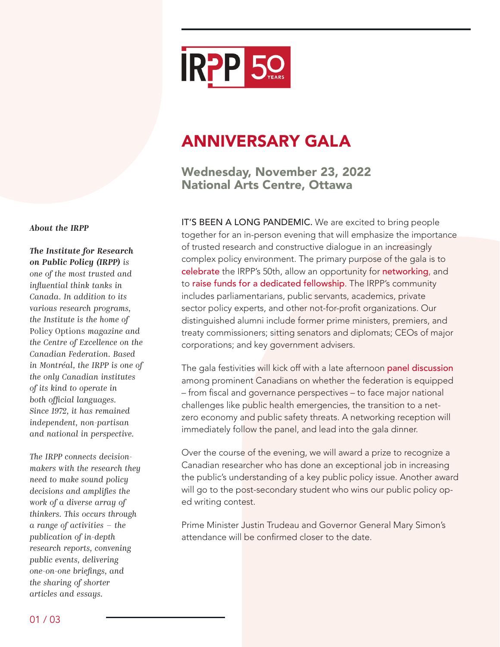

# ANNIVERSARY GALA

Wednesday, November 23, 2022 National Arts Centre, Ottawa

IT'S BEEN A LONG PANDEMIC. We are excited to bring people together for an in-person evening that will emphasize the importance of trusted research and constructive dialogue in an increasingly complex policy environment. The primary purpose of the gala is to celebrate the IRPP's 50th, allow an opportunity for networking, and to raise funds for a dedicated fellowship. The IRPP's community includes parliamentarians, public servants, academics, private sector policy experts, and other not-for-profit organizations. Our distinguished alumni include former prime ministers, premiers, and treaty commissioners; sitting senators and diplomats; CEOs of major corporations; and key government advisers.

The gala festivities will kick off with a late afternoon panel discussion among prominent Canadians on whether the federation is equipped – from fiscal and governance perspectives – to face major national challenges like public health emergencies, the transition to a netzero economy and public safety threats. A networking reception will immediately follow the panel, and lead into the gala dinner.

Over the course of the evening, we will award a prize to recognize a Canadian researcher who has done an exceptional job in increasing the public's understanding of a key public policy issue. Another award will go to the post-secondary student who wins our public policy oped writing contest.

Prime Minister Justin Trudeau and Governor General Mary Simon's attendance will be confirmed closer to the date.

#### *About the IRPP*

*The Institute for Research on Public Policy (IRPP) is one of the most trusted and influential think tanks in Canada. In addition to its various research programs, the Institute is the home of*  Policy Options *magazine and the Centre of Excellence on the Canadian Federation. Based in Montréal, the IRPP is one of the only Canadian institutes of its kind to operate in both official languages. Since 1972, it has remained independent, non-partisan and national in perspective.*

*The IRPP connects decisionmakers with the research they need to make sound policy decisions and amplifies the work of a diverse array of thinkers. This occurs through a range of activities – the publication of in-depth research reports, convening public events, delivering one-on-one briefings, and the sharing of shorter articles and essays.*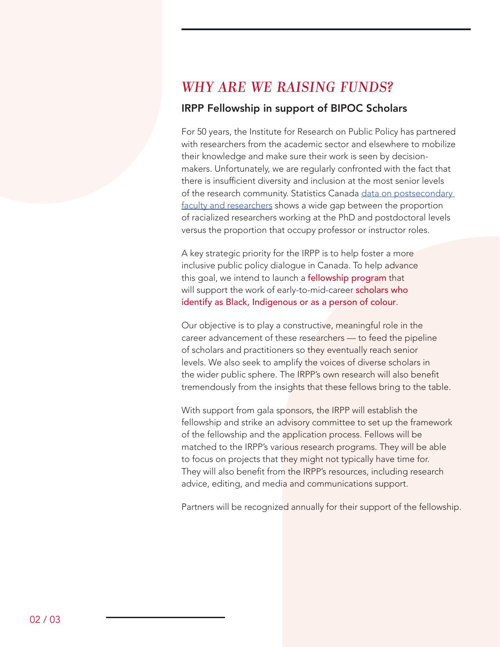### *WHY ARE WE RAISING FUNDS?*

#### IRPP Fellowship in support of BIPOC Scholars

For 50 years, the Institute for Research on Public Policy has partnered with researchers from the academic sector and elsewhere to mobilize their knowledge and make sure their work is seen by decisionmakers. Unfortunately, we are regularly confronted with the fact that there is insufficient diversity and inclusion at the most senior levels of the research community. Statistics Canada data on postsecondary faculty and researchers shows a wide gap between the proportion of racialized researchers working at the PhD and postdoctoral levels versus the proportion that occupy professor or instructor roles.

A key strategic priority for the IRPP is to help foster a more inclusive public policy dialogue in Canada. To help advance this goal, we intend to launch a fellowship program that will support the work of early-to-mid-career scholars who identify as Black, Indigenous or as a person of colour.

Our objective is to play a constructive, meaningful role in the career advancement of these researchers — to feed the pipeline of scholars and practitioners so they eventually reach senior levels. We also seek to amplify the voices of diverse scholars in the wider public sphere. The IRPP's own research will also benefit tremendously from the insights that these fellows bring to the table.

With support from gala sponsors, the IRPP will establish the fellowship and strike an advisory committee to set up the framework of the fellowship and the application process. Fellows will be matched to the IRPP's various research programs. They will be able to focus on projects that they might not typically have time for. They will also benefit from the IRPP's resources, including research advice, editing, and media and communications support.

Partners will be recognized annually for their support of the fellowship.